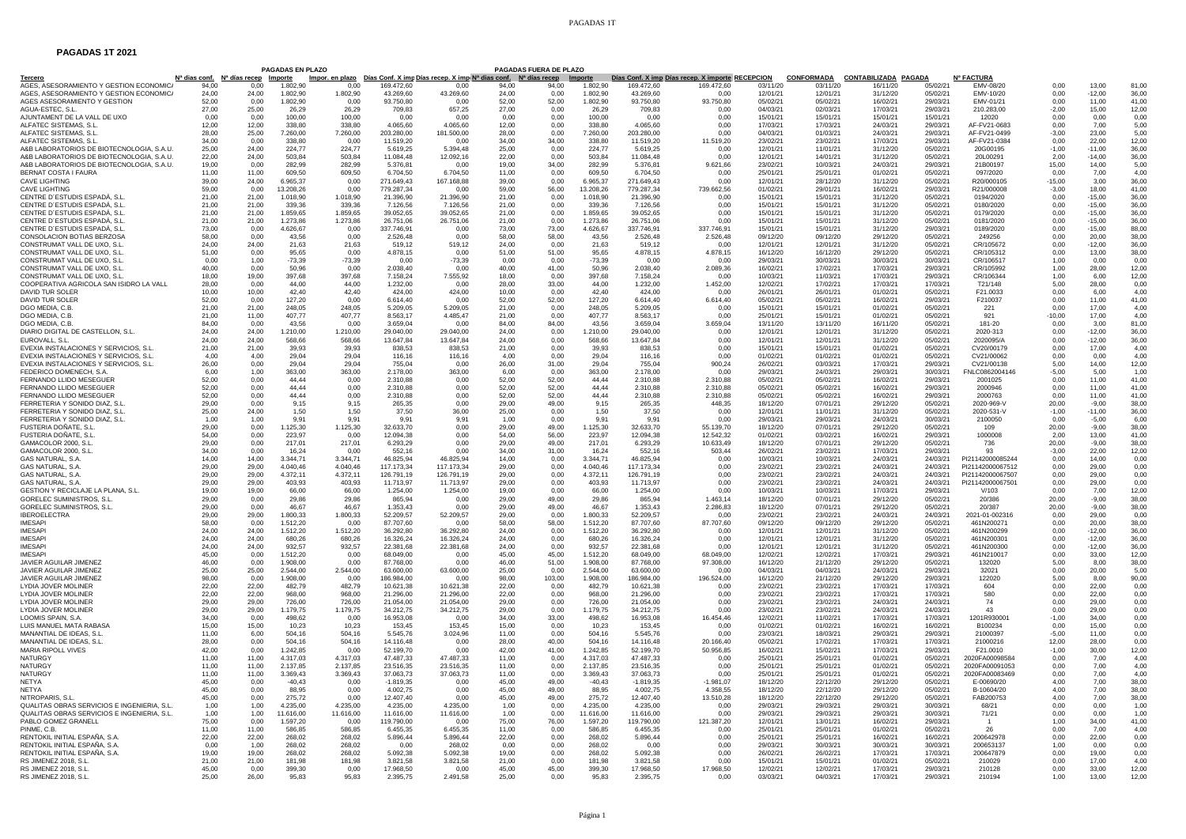## PAGADAS 1T

## **PAGADAS 1T 2021**

|                                             |                |                                                             | <b>PAGADAS EN PLAZO</b> |           |             |                                                                                        |       | PAGADAS FUERA DE PLAZO |                |             |                                                  |          |          |                                 |          |                   |                |                    |       |
|---------------------------------------------|----------------|-------------------------------------------------------------|-------------------------|-----------|-------------|----------------------------------------------------------------------------------------|-------|------------------------|----------------|-------------|--------------------------------------------------|----------|----------|---------------------------------|----------|-------------------|----------------|--------------------|-------|
| <b>Tercero</b>                              |                | N <sup>a</sup> dias conf. N <sup>a</sup> días recep Importe |                         |           |             | Impor. en plazo Días Conf. X imp Días recep. X imp Nª dias conf. Nª días recep Importe |       |                        |                |             | Días Conf. X imp Días recep. X importe RECEPCION |          |          | CONFORMADA CONTABILIZADA PAGADA |          | <b>Nº FACTURA</b> |                |                    |       |
| AGES, ASESORAMIENTO Y GESTION ECONOMICA     | 94.00          | 0.00                                                        | 1.802,90                | 0.00      | 169.472,60  | 0.00                                                                                   | 94.00 | 94.00                  | 1.802,90       | 169.472.60  | 169.472,60                                       | 03/11/20 | 03/11/20 | 16/11/20                        | 05/02/21 | EMV-08/20         | 0,00           | 13,00              | 81.00 |
| AGES. ASESORAMIENTO Y GESTION ECONOMICA     | 24.00          | 24.00                                                       | 1.802.90                | 1.802.90  | 43.269.60   | 43.269.60                                                                              | 24.00 | 0.00                   | 1.802.90       | 43.269.60   | 0.00                                             | 12/01/21 | 12/01/21 | 31/12/20                        | 05/02/21 | FMV-10/20         | 0.00           | $-12,00$           | 36.00 |
| AGES ASESORAMIENTO Y GESTION                | 52,00          | 0,00                                                        | 1.802,90                | 0,00      | 93.750,80   | 0,00                                                                                   | 52.00 | 52,00                  | 1.802.90       | 93.750,80   | 93.750,80                                        | 05/02/21 | 05/02/21 | 16/02/21                        | 29/03/21 | EMV-01/21         | 0,00           | 11,00              | 41,00 |
| AGUA-ESTEC, S.L.                            | 27,00          | 25,00                                                       | 26,29                   | 26,29     | 709,83      | 657,25                                                                                 | 27,00 | 0,00                   | 26,29          | 709,83      | 0.00                                             | 04/03/21 | 02/03/21 | 17/03/21                        | 29/03/21 | 210.283,00        | $-2,00$        | 15,00              | 12.00 |
| AJUNTAMENT DE LA VALL DE UXO                | 0.00           | 0.00                                                        | 100.00                  | 100.00    | 0.00        | 0.00                                                                                   | 0.00  | 0.00                   | 100.00         | 0.00        | 0.00                                             | 15/01/21 | 15/01/21 | 15/01/21                        | 15/01/21 | 12020             | 0.00           | 0.00               | 0.00  |
| ALFATEC SISTEMAS, S.L.                      | 12,00          | 12,00                                                       | 338.80                  | 338.80    | 4.065,60    | 4.065,60                                                                               | 12,00 | 0,00                   | 338.80         | 4.065.60    | 0,00                                             | 17/03/21 | 17/03/21 | 24/03/21                        | 29/03/21 | AF-FV21-0683      | 0,00           | 7,00               | 5,00  |
| ALFATEC SISTEMAS, S.L.                      | 28,00          | 25,00                                                       | 7.260,00                | 7.260,00  | 203.280,00  | 181.500,00                                                                             | 28,00 | 0,00                   | 7.260,00       | 203.280,00  | 0.00                                             | 04/03/21 | 01/03/21 | 24/03/21                        | 29/03/21 | AF-FV21-0499      | $-3,00$        | 23,00              | 5,00  |
| ALFATEC SISTEMAS, S.L.                      | 34.00          | 0.00                                                        | 338.80                  | 0.00      | 11.519.20   | 0.00                                                                                   | 34.00 | 34.00                  | 338.80         | 11.519.20   | 11.519.20                                        | 23/02/21 | 23/02/21 | 17/03/21                        | 29/03/21 | AF-FV21-0384      | 0.00           | 22.00              | 12.00 |
| A&B LABORATORIOS DE BIOTECNOLOGIA, S.A.U.   | 25,00          | 24.00                                                       | 224,77                  | 224,77    | 5.619,25    | 5.394.48                                                                               | 25,00 | 0,00                   | 224.77         | 5.619.25    | 0.00                                             | 12/01/21 | 11/01/21 | 31/12/20                        | 05/02/21 | 20G00195          | $-1,00$        | $-11.00$           | 36.00 |
| A&B LABORATORIOS DE BIOTECNOLOGIA, S.A.U    | 22.00          | 24,00                                                       | 503.84                  | 503,84    | 11.084.48   | 12.092.16                                                                              | 22.00 | 0,00                   | 503.84         | 11.084.48   | 0.00                                             | 12/01/21 | 14/01/21 | 31/12/20                        | 05/02/21 | 20L00291          | 2,00           | $-14.00$           | 36.00 |
| A&B LABORATORIOS DE BIOTECNOLOGIA, S.A.U.   | 19.00          | 0.00                                                        | 282.99                  | 282.99    | 5.376,81    | 0.00                                                                                   | 19.00 | 34.00                  | 282.99         | 5.376,81    | 9.621,66                                         | 23/02/21 | 10/03/21 | 24/03/21                        | 29/03/21 | 21B00197          | 15.00          | 14.00              | 5.00  |
| BERNAT COSTA I FAURA                        | 11.00          | 11.00                                                       | 609.50                  | 609.50    | 6,704.50    | 6,704.50                                                                               | 11.00 | 0.00                   | 609.50         | 6.704.50    | 0.00                                             | 25/01/21 | 25/01/21 | 01/02/21                        | 05/02/21 | 097/2020          | 0.00           | 7.00               | 4,00  |
| <b>CAVE LIGHTING</b>                        | 39,00          | 24,00                                                       | 6.965,37                | 0.00      | 271.649,43  | 167.168,88                                                                             | 39.00 | 0,00                   | 6.965,37       | 271.649,43  | 0.00                                             | 12/01/21 | 28/12/20 | 31/12/20                        | 05/02/21 | R20/000105        | $-15,00$       | 3,00               | 36,00 |
| <b>CAVE LIGHTING</b>                        | 59.00          | 0.00                                                        | 13.208,26               | 0.00      | 779.287,34  | 0.00                                                                                   | 59.00 | 56,00                  | 13.208,26      | 779.287,34  | 739.662,56                                       | 01/02/21 | 29/01/21 | 16/02/21                        | 29/03/21 | R21/000008        | $-3.00$        | 18,00              | 41.00 |
| CENTRE D'ESTUDIS ESPADÁ. S.L.               | 21.00          | 21.00                                                       | 1.018.90                | 1.018.90  | 21.396.90   | 21.396.90                                                                              | 21.00 | 0.00                   | 1.018.90       | 21.396.90   | 0.00                                             | 15/01/21 | 15/01/21 | 31/12/20                        | 05/02/21 | 0194/2020         | 0.00           | $-15.00$           | 36.00 |
| CENTRE D'ESTUDIS ESPADÁ, S.L                | 21.00          | 21,00                                                       | 339,36                  | 339,36    | 7.126,56    | 7.126.56                                                                               | 21,00 | 0,00                   | 339,36         | 7.126,56    | 0.00                                             | 15/01/21 | 15/01/21 | 31/12/20                        | 05/02/21 | 0180/2020         | 0,00           | $-15,00$           | 36,00 |
| CENTRE D'ESTUDIS ESPADÁ. S.I.               | 21.00          | 21.00                                                       | 1.859.65                | 1.859,65  | 39.052.65   | 39.052.65                                                                              | 21.00 | 0.00                   | 1.859.65       | 39.052.65   | 0.00                                             | 15/01/21 | 15/01/21 | 31/12/20                        | 05/02/21 | 0179/2020         | 0.00           | $-15,00$           | 36.00 |
| CENTRE D'ESTUDIS ESPADÁ, S.L.               | 21,00          | 21,00                                                       | 1.273,86                | 1.273,86  | 26.751,06   | 26.751,06                                                                              | 21,00 | 0,00                   | 1.273,86       | 26.751,06   | 0.00                                             | 15/01/21 | 15/01/21 | 31/12/20                        | 05/02/21 | 0181/2020         | 0,00           | $-15,00$           | 36.00 |
| CENTRE D'ESTUDIS ESPADÁ, S.L                | 73,00          | 0,00                                                        | 4.626,67                | 0,00      | 337,746.9   | 0,00                                                                                   | 73.00 | 73,00                  | 4.626,67       | 337.746,91  | 337.746.91                                       | 15/01/21 | 15/01/21 | 31/12/20                        | 29/03/21 | 0189/2020         | 0.00           | $-15,00$           | 88.00 |
| CONSOLACION BOTIAS BERZOSA                  | 58.00          | 0.00                                                        | 43.56                   | 0.00      | 2.526.48    | 0.00                                                                                   | 58.00 | 58.00                  | 43.56          | 2.526.48    | 2.526.48                                         | 09/12/20 | 09/12/20 | 29/12/20                        | 05/02/21 | 249256            | 0.00           | 20.00              | 38.00 |
| CONSTRUMAT VALL DE UXO. S.L.                | 24.00          | 24,00                                                       | 21.63                   | 21.63     | 519.12      | 519,12                                                                                 | 24.00 | 0.00                   | 21.63          | 519.12      | 0.00                                             | 12/01/21 | 12/01/21 | 31/12/20                        | 05/02/21 | CR/105672         | 0.00           | $-12.00$           | 36.00 |
| CONSTRUMAT VALL DE UXO. S.L                 | 51.00          | 0.00                                                        | 95.65                   | 0.00      | 4.878.15    | 0.00                                                                                   | 51,00 | 51,00                  | 95.65          | 4.878.15    | 4.878.15                                         | 16/12/20 | 16/12/20 | 29/12/20                        | 05/02/21 | CR/105312         | 0.00           | 13.00              | 38.00 |
| CONSTRUMAT VALL DE UXO, S.L                 | 0.00           | 1.00                                                        | $-73.39$                | $-73.39$  | 0.00        | $-73.39$                                                                               | 0.00  | 0.00                   | $-73.39$       | 0.00        | 0.00                                             | 29/03/21 | 30/03/21 | 30/03/21                        | 30/03/21 | CR/106517         | 1.00           | 0.00               | 0.00  |
| CONSTRUMAT VALL DE UXO. S.L                 | 40.00          | 0.00                                                        | 50.96                   | 0.00      | 2.038.40    | 0.00                                                                                   | 40.00 | 41.00                  | 50.96          | 2.038,40    |                                                  | 16/02/21 | 17/02/21 | 17/03/21                        | 29/03/21 | CR/105992         |                | 28.00              | 12,00 |
| CONSTRUMAT VALL DE UXO. S.L.                | 18.00          | 19,00                                                       | 397,68                  | 397,68    | 7.158,24    | 7.555,92                                                                               | 18.00 | 0,00                   | 397,68         | 7.158,24    | 2.089,36<br>0.00                                 | 10/03/21 | 11/03/21 | 17/03/21                        | 29/03/21 | CR/106344         | 1,00<br>1,00   | 6.00               | 12.00 |
| COOPERATIVA AGRICOLA SAN ISIDRO LA VALL     | 28.00          | 0.00                                                        | 44.00                   | 44,00     | 1.232,00    | 0.00                                                                                   | 28.00 | 33.00                  | 44.00          | 1.232,00    | 1.452,00                                         | 12/02/21 | 17/02/21 | 17/03/21                        | 17/03/21 | T21/148           | 5.00           | 28.00              | 0.00  |
| DAVID TUR SOLER                             | 10.00          |                                                             | 42.40                   | 42.40     | 424.00      |                                                                                        | 10.00 | 0.00                   | 42.40          | 424.00      | 0.00                                             | 26/01/21 | 26/01/21 | 01/02/21                        | 05/02/21 | F21.0033          |                | 6.00               |       |
|                                             |                | 10,00                                                       |                         |           |             | 424,00                                                                                 |       |                        |                |             |                                                  |          |          |                                 |          |                   | 0,00           |                    | 4,00  |
| DAVID TUR SOLER                             | 52,00          | 0,00                                                        | 127,20                  | 0,00      | 6.614,40    | 0,00                                                                                   | 52,00 | 52,00                  | 127,20         | 6.614,40    | 6.614,40                                         | 05/02/21 | 05/02/21 | 16/02/21                        | 29/03/21 | F210037           | 0,00           | 11,00              | 41,00 |
| DGO MEDIA, C.B.                             | 21.00          | 21,00                                                       | 248,05                  | 248,05    | 5.209,05    | 5.209,05                                                                               | 21,00 | 0,00                   | 248,05         | 5.209,05    | 0.00                                             | 15/01/21 | 15/01/21 | 01/02/21                        | 05/02/21 | 221               | 0.00           | 17,00              | 4,00  |
| DGO MEDIA, C.B.                             | 21.00          | 11.00                                                       | 407.77                  | 407.77    | 8.563.17    | 4.485.47                                                                               | 21.00 | 0.00                   | 407.77         | 8.563.17    | 0.00                                             | 25/01/21 | 15/01/21 | 01/02/21                        | 05/02/21 | 921               | $-10.00$       | 17.00              | 4,00  |
| DGO MEDIA, C.B.                             | 84,00          | 0,00                                                        | 43,56                   | 0,00      | 3.659,04    | 0,00                                                                                   | 84,00 | 84,00                  | 43,56          | 3.659,04    | 3.659,04                                         | 13/11/20 | 13/11/20 | 16/11/20                        | 05/02/21 | 181-20            | 0,00           | 3,00               | 81,00 |
| DIARIO DIGITAL DE CASTELLON, S.L.           | 24.00          | 24,00                                                       | 1.210,00                | 1.210,00  | 29.040,00   | 29.040,00                                                                              | 24,00 | 0,00                   | 1.210,00       | 29.040,00   | 0.00                                             | 12/01/21 | 12/01/21 | 31/12/20                        | 05/02/21 | 2020-313          | 0.00           | $-12,00$           | 36,00 |
| FUROVALL S.L                                | 24.00          | 24.00                                                       | 568.66                  | 568.66    | 13.647,84   | 13.647.84                                                                              | 24.00 | 0.00                   | 568.66         | 13.647.84   | 0.00                                             | 12/01/21 | 12/01/21 | 31/12/20                        | 05/02/21 | 2020095/A         | 0.00           | $-12.00$           | 36.00 |
| EVEXIA INSTALACIONES Y SERVICIOS, S.L.      | 21,00          | 21,00                                                       | 39,93                   | 39,93     | 838,53      | 838,53                                                                                 | 21,00 | 0,00                   | 39,93          | 838,53      | 0,00                                             | 15/01/21 | 15/01/21 | 01/02/21                        | 05/02/21 | CV20/00179        | 0,00           | 17,00              | 4,00  |
| EVEXIA INSTALACIONES Y SERVICIOS, S.L.      | 4,00           | 4,00                                                        | 29,04                   | 29,04     | 116,16      | 116,16                                                                                 | 4,00  | 0,00                   | 29,04          | 116,16      | 0,00                                             | 01/02/21 | 01/02/21 | 01/02/21                        | 05/02/21 | CV21/00062        | 0,00           | 0,00               | 4.00  |
| EVEXIA INSTALACIONES Y SERVICIOS, S.L.      | 26.00          | 0,00                                                        | 29.04                   | 29.04     | 755.04      | 0.00                                                                                   | 26.00 | 31.00                  | 29.04          | 755.04      | 900,24                                           | 26/02/21 | 03/03/21 | 17/03/21                        | 29/03/21 | CV21/00138        | 5.00           | 14.00              | 12,00 |
| FEDERICO DOMENECH, S.A.                     | 6.00           | 1,00                                                        | 363,00                  | 363,00    | 2.178,00    | 363.00                                                                                 | 6.00  | 0,00                   | 363,00         | 2.178,00    | 0.00                                             | 29/03/21 | 24/03/21 | 29/03/21                        | 30/03/21 | FNLC0862004146    | $-5,00$        | 5,00               | 1,00  |
| FERNANDO LLIDO MESEGUER                     | 52.00          | 0.00                                                        | 44.44                   | 0.00      | 2.310.88    | 0.00                                                                                   | 52.00 | 52.00                  | 44.44          | 2.310.88    | 2.310,88                                         | 05/02/21 | 05/02/21 | 16/02/21                        | 29/03/21 | 2001025           | 0.00           | 11.00              | 41,00 |
| FERNANDO I LIDO MESEGUER                    | 52.00          | 0,00                                                        | 44.44                   | 0,00      | 2.310.88    | 0,00                                                                                   | 52.00 | 52,00                  | 44.44          | 2.310.88    | 2.310.88                                         | 05/02/21 | 05/02/21 | 16/02/21                        | 29/03/21 | 2000946           | 0,00           | 11,00              | 41,00 |
| FERNANDO LLIDO MESEGUER                     | 52.00          | 0,00                                                        | 44,44                   | 0,00      | 2.310,88    | 0,00                                                                                   | 52,00 | 52,00                  | 44,44          | 2.310,88    | 2.310,88                                         | 05/02/21 | 05/02/21 | 16/02/21                        | 29/03/21 | 2000763           | 0,00           | 11,00              | 41.00 |
| FERRETERIA Y SONIDO DIAZ, S.L.              | 29.00          | 0,00                                                        | 9.15                    | 9.15      | 265.35      | 0.00                                                                                   | 29.00 | 49,00                  | 9.15           | 265.35      | 448,35                                           | 18/12/20 | 07/01/21 | 29/12/20                        | 05/02/21 | 2020-969-V        | 20,00          | $-9.00$            | 38,00 |
| FERRETERIA Y SONIDO DIAZ. S.L.              | 25,00          | 24,00                                                       | 1,50                    | 1.50      | 37,50       | 36,00                                                                                  | 25,00 | 0.00                   | 1,50           | 37,50       | 0.00                                             | 12/01/21 | 11/01/21 | 31/12/20                        | 05/02/21 | 2020-531-V        | $-1,00$        | $-11.00$           | 36.00 |
| FERRETERIA Y SONIDO DIAZ, S.L               | 1.00           | 1,00                                                        | 9,91                    | 9,91      | 9.91        | 9,91                                                                                   | 1,00  | 0,00                   | 9,91           | 9,91        | 0.00                                             | 29/03/21 | 29/03/21 | 24/03/21                        | 30/03/21 | 2100050           | 0,00           | $-5,00$            | 6,00  |
| FUSTERIA DOÑATE, S.L.                       | 29,00          | 0,00                                                        | 1.125,30                | 1.125,30  | 32.633,70   | 0,00                                                                                   | 29,00 | 49,00                  | 1.125,30       | 32.633,70   | 55.139,70                                        | 18/12/20 | 07/01/21 | 29/12/20                        | 05/02/21 | 109               | 20,00          | $-9,00$            | 38,00 |
| FUSTERIA DOÑATE, S.I.                       | 54.00          | 0.00                                                        | 223.97                  | 0.00      | 12.094.38   | 0.00                                                                                   | 54.00 | 56.00                  | 223.97         | 12.094.38   | 12.542.32                                        | 01/02/21 | 03/02/21 | 16/02/21                        | 29/03/21 | 1000008           | 2.00           | 13.00              | 41.00 |
| GAMACOLOR 2000, S.L                         | 29,00          | 0,00                                                        | 217,01                  | 217,01    | 6.293,29    | 0,00                                                                                   | 29,00 | 49,00                  | 217,01         | 6.293,29    | 10.633,49                                        | 18/12/20 | 07/01/21 | 29/12/20                        | 05/02/21 | 736               | 20,00          | $-9,00$            | 38,00 |
| GAMACOLOR 2000, S.L.                        | 34.00          | 0,00                                                        | 16,24                   | 0,00      | 552,16      | 0,00                                                                                   | 34,00 | 31,00                  | 16,24          | 552,16      | 503,44                                           | 26/02/21 | 23/02/21 | 17/03/21                        | 29/03/21 | 93                | $-3,00$        | 22,00              | 12.00 |
| <b>GAS NATURAL S.A.</b>                     | 14.00          | 14.00                                                       | 3.344.71                | 3.344.71  | 46.825.94   | 46.825.94                                                                              | 14.00 | 0.00                   | 3.344.71       | 46.825.94   | 0.00                                             | 10/03/21 | 10/03/21 | 24/03/21                        | 24/03/21 | PI21142000085244  | 0.00           | 14.00              | 0.00  |
| GAS NATURAL, S.A                            | 29,00          | 29,00                                                       | 4.040,46                | 4.040,46  | 117.173,34  | 117.173,34                                                                             | 29,00 | 0,00                   | 4.040,46       | 117.173,34  | 0,00                                             | 23/02/21 | 23/02/21 | 24/03/21                        | 24/03/21 | PI21142000067512  | 0,00           | 29,00              | 0,00  |
| <b>GAS NATURAL, S.A.</b>                    | 29,00          | 29,00                                                       | 4.372,11                | 4.372,11  | 126.791,19  | 126,791.19                                                                             | 29,00 | 0,00                   | 4.372,11       | 126.791,19  | 0,00                                             | 23/02/21 | 23/02/21 | 24/03/21                        | 24/03/21 | PI21142000067507  | 0,00           | 29.00              | 0,00  |
| <b>GAS NATURAL S.A.</b>                     | 29.00          | 29.00                                                       | 403.93                  | 403.93    | 11.713.97   | 11.713.97                                                                              | 29.00 | 0.00                   | 403.93         | 11.713.97   | 0.00                                             | 23/02/21 | 23/02/21 | 24/03/21                        | 24/03/21 | PI21142000067501  | 0.00           | 29.00              | 0.00  |
| GESTION Y RECICLAJE LA PLANA, S.L.          | 19.00          | 19,00                                                       | 66,00                   | 66.00     | 1.254,00    | 1.254,00                                                                               | 19,00 | 0.00                   | 66,00          | 1.254.00    | 0.00                                             | 10/03/21 | 10/03/21 | 17/03/21                        | 29/03/21 | V/103             | 0,00           | 7,00               | 12.00 |
| <b>GORELEC SUMINISTROS, S.L.</b>            |                |                                                             | 29.86                   | 29.86     | 865.94      | 0.00                                                                                   | 29.00 | 49.00                  |                | 865.94      | 1.463.14                                         | 18/12/20 | 07/01/21 | 29/12/20                        | 05/02/21 | 20/386            |                |                    | 38.00 |
| <b>GORELEC SUMINISTROS, S.L.</b>            | 29,00<br>29.00 | 0,00<br>0.00                                                | 46.67                   | 46.67     | 1.353.43    | 0.00                                                                                   | 29.00 | 49.00                  | 29,86<br>46.67 | 1.353,43    | 2.286.83                                         | 18/12/20 | 07/01/21 | 29/12/20                        | 05/02/21 | 20/387            | 20,00<br>20.00 | $-9,00$<br>$-9.00$ | 38,00 |
| <b>IBEROFLECTRA</b>                         |                |                                                             |                         |           |             |                                                                                        |       |                        |                |             | 0.00                                             |          |          |                                 |          |                   |                |                    |       |
|                                             | 29.00          | 29,00                                                       | 1.800.33                | 1.800,33  | 52,209.57   | 52.209.57                                                                              | 29.00 | 0.00                   | 1.800.33       | 52.209.57   |                                                  | 23/02/21 | 23/02/21 | 24/03/21                        | 24/03/21 | 2021-01-002316    | 0,00           | 29.00              | 0.00  |
| <b>IMESAPI</b>                              | 58.00          | 0.00                                                        | 1.512,20                | 0.00      | 87,707.60   | 0.00                                                                                   | 58.00 | 58.00                  | 1.512.20       | 87.707,60   | 87,707.60                                        | 09/12/20 | 09/12/20 | 29/12/20                        | 05/02/21 | 461N200271        | 0.00           | 20.00              | 38.00 |
| <b>IMESAPI</b>                              | 24.00          | 24.00                                                       | 1.512,20                | 1.512,20  | 36.292,80   | 36.292,80                                                                              | 24.00 | 0,00                   | 1.512,20       | 36.292.80   | 0.00                                             | 12/01/21 | 12/01/21 | 31/12/20                        | 05/02/21 | 461N200299        | 0.00           | $-12.00$           | 36,00 |
| <b>IMESAPI</b>                              | 24,00          | 24,00                                                       | 680,26                  | 680,26    | 16.326,24   | 16.326,24                                                                              | 24,00 | 0,00                   | 680,26         | 16.326,24   | 0.00                                             | 12/01/21 | 12/01/21 | 31/12/20                        | 05/02/21 | 461N200301        | 0,00           | $-12,00$           | 36,00 |
| <b>IMESAPI</b>                              | 24,00          | 24,00                                                       | 932,57                  | 932,57    | 22.381,68   | 22.381,68                                                                              | 24,00 | 0,00                   | 932,57         | 22.381,68   | 0,00                                             | 12/01/21 | 12/01/21 | 31/12/20                        | 05/02/21 | 461N200300        | 0,00           | $-12,00$           | 36.00 |
| <b>IMESAPI</b>                              | 45.00          | 0.00                                                        | 1.512.20                | 0.00      | 68.049.00   | 0.00                                                                                   | 45.00 | 45.00                  | 1.512.20       | 68.049.00   | 68.049.00                                        | 12/02/21 | 12/02/21 | 17/03/21                        | 29/03/21 | 461N210017        | 0.00           | 33.00              | 12.00 |
| JAVIER AGUILAR JIMENEZ                      | 46,00          | 0,00                                                        | 1.908,00                | 0,00      | 87.768,00   | 0,00                                                                                   | 46,00 | 51,00                  | 1.908,00       | 87.768,00   | 97.308,00                                        | 16/12/20 | 21/12/20 | 29/12/20                        | 05/02/21 | 132020            | 5,00           | 8,00               | 38,00 |
| JAVIER AGUILAR JIMENEZ                      | 25,00          | 25,00                                                       | 2.544,00                | 2.544,00  | 63.600,00   | 63.600,00                                                                              | 25,00 | 0,00                   | 2.544,00       | 63.600,00   | 0.00                                             | 04/03/21 | 04/03/21 | 24/03/21                        | 29/03/21 | 32021             | 0,00           | 20,00              | 5,00  |
| JAVIER AGUILAR JIMENEZ                      | 98.00          | 0.00                                                        | 1.908.00                | 0.00      | 186.984.00  | 0.00                                                                                   | 98.00 | 103,00                 | 1.908.00       | 186.984.00  | 196.524.00                                       | 16/12/20 | 21/12/20 | 29/12/20                        | 29/03/21 | 122020            | 5.00           | 8.00               | 90.00 |
| <b>LYDIA JOVER MOLINER</b>                  | 22,00          | 22,00                                                       | 482,79                  | 482.79    | 10.621,38   | 10.621,38                                                                              | 22,00 | 0,00                   | 482,79         | 10.621,38   | 0.00                                             | 23/02/21 | 23/02/21 | 17/03/21                        | 17/03/21 | 604               | 0,00           | 22,00              | 0,00  |
| LYDIA JOVER MOLINER                         | 22,00          | 22,00                                                       | 968.00                  | 968.00    | 21.296,00   | 21.296.00                                                                              | 22,00 | 0,00                   | 968.00         | 21.296,00   | 0.00                                             | 23/02/21 | 23/02/21 | 17/03/21                        | 17/03/21 | 580               | 0,00           | 22.00              | 0.00  |
| <b>LYDIA JOVER MOLINER</b>                  | 29.00          | 29.00                                                       | 726.00                  | 726.00    | 21.054.00   | 21.054.00                                                                              | 29.00 | 0.00                   | 726.00         | 21.054.00   | 0.00                                             | 23/02/21 | 23/02/21 | 24/03/21                        | 24/03/21 | 74                | 0.00           | 29.00              | 0,00  |
| <b>LYDIA JOVER MOLINER</b>                  | 29.00          | 29,00                                                       | 1.179,75                | 1.179,75  | 34.212.75   | 34.212,75                                                                              | 29,00 | 0.00                   | 1.179,75       | 34.212,75   | 0.00                                             | 23/02/21 | 23/02/21 | 24/03/21                        | 24/03/21 | 43                | 0,00           | 29,00              | 0,00  |
| LOOMIS SPAIN, S.A.                          | 34.00          | 0.00                                                        | 498.62                  | 0.00      | 16.953.08   | 0.00                                                                                   | 34,00 | 33.00                  | 498.62         | 16.953,08   | 16,454.46                                        | 12/02/21 | 11/02/21 | 17/03/21                        | 17/03/21 | 1201R930001       | $-1,00$        | 34.00              | 0.00  |
| LUIS MANUEL MATA RABASA                     | 15.00          | 15,00                                                       | 10.23                   | 10,23     | 153.45      | 153,45                                                                                 | 15.00 | 0.00                   | 10,23          | 153.45      | 0.00                                             | 01/02/21 | 01/02/21 | 16/02/21                        | 16/02/21 | B100234           | 0,00           | 15.00              | 0,00  |
| MANANTIAL DE IDEAS, S.L.                    | 11.00          | 6.00                                                        | 504.16                  | 504.16    | 5.545.76    | 3.024.96                                                                               | 11.00 | 0.00                   | 504.16         | 5.545.76    | 0.00                                             | 23/03/21 | 18/03/21 | 29/03/21                        | 29/03/21 | 21000397          | $-5.00$        | 11.00              | 0.00  |
| MANANTIAL DE IDEAS, S.L.                    | 28.00          | 0.00                                                        | 504,16                  | 504,16    | 14.116,48   | 0.00                                                                                   | 28.00 | 40.00                  | 504,16         | 14.116,48   | 20.166.40                                        | 05/02/21 | 17/02/21 | 17/03/21                        | 17/03/21 | 21000216          | 12.00          | 28.00              | 0,00  |
| MARIA RIPOLL VIVES                          | 42.00          | 0,00                                                        | 1.242,85                | 0,00      | 52.199,70   | 0.00                                                                                   | 42,00 | 41,00                  | 1.242,85       | 52.199,70   | 50.956,85                                        | 16/02/21 | 15/02/21 | 17/03/21                        | 29/03/21 | F21.0010          | $-1,00$        | 30.00              | 12,00 |
| NATURGY                                     | 11.00          | 11,00                                                       | 4.317.03                | 4.317.03  | 47.487.33   | 47.487,33                                                                              | 11,00 | 0.00                   | 4.317.03       | 47.487.33   | 0.00                                             | 25/01/21 | 25/01/21 | 01/02/21                        | 05/02/21 | 2020FA0009858     | 0,00           | 7,00               | 4,00  |
| <b>NATURGY</b>                              | 11.00          | 11.00                                                       | 2.137,85                | 2.137,85  | 23.516,35   | 23.516,35                                                                              | 11.00 | 0,00                   | 2.137,85       | 23.516,35   | 0.00                                             | 25/01/21 | 25/01/21 | 01/02/21                        | 05/02/21 | 2020FA00091053    | 0.00           | 7,00               | 4,00  |
| <b>NATURGY</b>                              | 11,00          | 11,00                                                       | 3.369,43                | 3.369,43  | 37.063,73   | 37.063,73                                                                              | 11,00 | 0,00                   | 3.369,43       | 37.063,73   | 0,00                                             | 25/01/21 | 25/01/21 | 01/02/21                        | 05/02/21 | 2020FA00083469    | 0,00           | 7,00               | 4,00  |
| <b>NFTYA</b>                                | 45.00          | 0.00                                                        | $-40.43$                | 0,00      | $-1.819.35$ | 0.00                                                                                   | 45.00 | 49.00                  | $-40.43$       | $-1.819.35$ | $-1.981.07$                                      | 18/12/20 | 22/12/20 | 29/12/20                        | 05/02/21 | E-00690/20        | 4.00           | 7.00               | 38.00 |
| NETYA                                       | 45,00          | 0,00                                                        | 88,95                   | 0,00      | 4.002,75    | 0,00                                                                                   | 45,00 | 49,00                  | 88,95          | 4.002,75    | 4.358,55                                         | 18/12/20 | 22/12/20 | 29/12/20                        | 05/02/21 | B-10604/20        | 4,00           | 7,00               | 38,00 |
| NITROPARIS, S.I.                            | 45,00          | 0,00                                                        | 275,72                  | 0,00      | 12.407,40   | 0,00                                                                                   | 45,00 | 49,00                  | 275,72         | 12.407,40   | 13.510,28                                        | 18/12/20 | 22/12/20 | 29/12/20                        | 05/02/21 | FAB200753         | 4,00           | 7,00               | 38,00 |
|                                             |                |                                                             |                         |           |             |                                                                                        |       |                        |                |             |                                                  |          |          |                                 |          |                   |                |                    |       |
| QUALITAS OBRAS SERVICIOS E INGENIERIA, S.L. | 1,00           | 1,00                                                        | 4.235,00                | 4.235,00  | 4.235,00    | 4.235.00                                                                               | 1,00  | 0.00                   | 4.235,00       | 4.235.00    | 0.00                                             | 29/03/21 | 29/03/21 | 29/03/21                        | 30/03/21 | 68/21             | 0,00           | 0,00               | 1,00  |
| QUALITAS OBRAS SERVICIOS E INGENIERIA, S.L. | 1,00           | 1,00                                                        | 11,616,00               | 11.616,00 | 11.616,00   | 11.616,00                                                                              | 1,00  | 0.00                   | 11.616,00      | 11.616.00   | 0.00                                             | 29/03/21 | 29/03/21 | 29/03/21                        | 30/03/21 | 71/21             | 0.00           | 0.00               | 1,00  |
| PABLO GOMEZ GRANELL                         | 75.00          | 0.00                                                        | 1.597,20                | 0.00      | 119,790.00  | 0.00                                                                                   | 75.00 | 76.00                  | 1.597,20       | 119.790,00  | 121.387.20                                       | 12/01/21 | 13/01/21 | 16/02/21                        | 29/03/21 | $\overline{1}$    | 1.00           | 34.00              | 41,00 |
| PINME, C.B.                                 | 11.00          | 11.00                                                       | 586.85                  | 586,85    | 6.455.35    | 6.455.35                                                                               | 11.00 | 0.00                   | 586.85         | 6.455.35    | 0.00                                             | 25/01/21 | 25/01/21 | 01/02/21                        | 05/02/21 | 26                | 0.00           | 7.00               | 4,00  |
| RENTOKIL INITIAL ESPAÑA, S.A.               | 22.00          | 22.00                                                       | 268.02                  | 268.02    | 5.896.44    | 5.896.44                                                                               | 22.00 | 0.00                   | 268.02         | 5.896.44    | 0.00                                             | 25/01/21 | 25/01/21 | 16/02/21                        | 16/02/21 | 200642978         | 0.00           | 22.00              | 0.00  |
| RENTOKIL INITIAL ESPAÑA, S.A.               | 0.00           | 1.00                                                        | 268,02                  | 268,02    | 0.00        | 268,02                                                                                 | 0.00  | 0.00                   | 268,02         | 0.00        | 0.00                                             | 29/03/21 | 30/03/21 | 30/03/21                        | 30/03/21 | 200653137         | 1.00           | 0.00               | 0,00  |
| RENTOKIL INITIAL ESPAÑA. S.A.               | 19.00          | 19,00                                                       | 268.02                  | 268.02    | 5.092,38    | 5.092.38                                                                               | 19,00 | 0,00                   | 268.02         | 5.092.38    | 0.00                                             | 26/02/21 | 26/02/21 | 17/03/21                        | 17/03/21 | 200647879         | 0,00           | 19,00              | 0,00  |
| RS JIMENEZ 2018, S.L                        | 21.00          | 21.00                                                       | 181.98                  | 181.98    | 3.821,58    | 3.821,58                                                                               | 21.00 | 0.00                   | 181.98         | 3.821.58    | 0.00                                             | 15/01/21 | 15/01/21 | 01/02/21                        | 05/02/21 | 210029            | 0.00           | 17.00              | 4,00  |
| RS JIMENEZ 2018, S.L.                       | 45,00          | 0,00                                                        | 399,30                  | 0,00      | 17.968,50   | 0.00                                                                                   | 45,00 | 45,00                  | 399,30         | 17.968,50   | 17.968,50                                        | 12/02/21 | 12/02/21 | 17/03/21                        | 29/03/21 | 210128            | 0.00           | 33,00              | 12,00 |
| RS JIMENEZ 2018, S.L.                       | 25.00          | 26,00                                                       | 95.83                   | 95.83     | 2.395.75    | 2.491.58                                                                               | 25.00 | 0.00                   | 95,83          | 2.395.75    | 0.00                                             | 03/03/21 | 04/03/21 | 17/03/21                        | 29/03/21 | 210194            | 1.00           | 13.00              | 12.00 |
|                                             |                |                                                             |                         |           |             |                                                                                        |       |                        |                |             |                                                  |          |          |                                 |          |                   |                |                    |       |